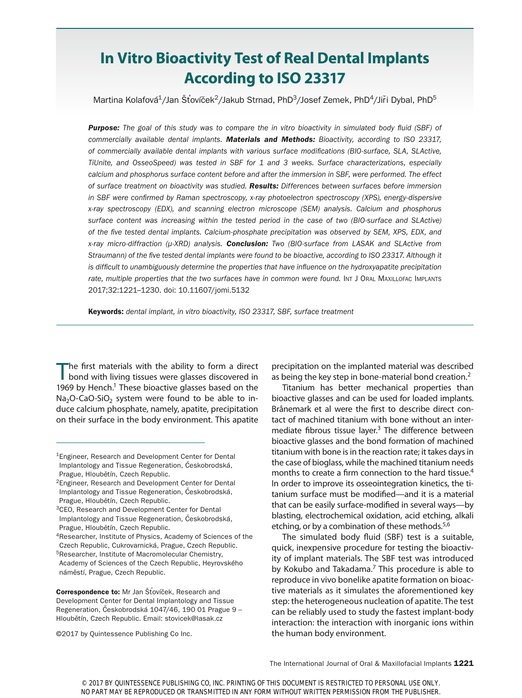# **In Vitro Bioactivity Test of Real Dental Implants According to ISO 23317**

Martina Kolafová<sup>1</sup>/Jan Šťovíček<sup>2</sup>/Jakub Strnad, PhD<sup>3</sup>/Josef Zemek, PhD<sup>4</sup>/Jiři Dybal, PhD<sup>5</sup>

*Purpose: The goal of this study was to compare the in vitro bioactivity in simulated body fluid (SBF) of commercially available dental implants. Materials and Methods: Bioactivity, according to ISO 23317, of commercially available dental implants with various surface modifications (BIO-surface, SLA, SLActive, TiUnite, and OsseoSpeed) was tested in SBF for 1 and 3 weeks. Surface characterizations, especially calcium and phosphorus surface content before and after the immersion in SBF, were performed. The effect of surface treatment on bioactivity was studied. Results: Differences between surfaces before immersion in SBF were confirmed by Raman spectroscopy, x-ray photoelectron spectroscopy (XPS), energy-dispersive x-ray spectroscopy (EDX), and scanning electron microscope (SEM) analysis. Calcium and phosphorus surface content was increasing within the tested period in the case of two (BIO-surface and SLActive) of the five tested dental implants. Calcium-phosphate precipitation was observed by SEM, XPS, EDX, and x-ray micro-diffraction (µ-XRD) analysis. Conclusion: Two (BIO-surface from LASAK and SLActive from Straumann) of the five tested dental implants were found to be bioactive, according to ISO 23317. Although it is difficult to unambiguously determine the properties that have influence on the hydroxyapatite precipitation* rate, multiple properties that the two surfaces have in common were found. Int J ORAL MAXILLOFAC IMPLANTS 2017;32:1221–1230. doi: 10.11607/jomi.5132

Keywords: *dental implant, in vitro bioactivity, ISO 23317, SBF, surface treatment* 

The first materials with the ability to form a direct bond with living tissues were glasses discovered in 1969 by Hench.<sup>1</sup> These bioactive glasses based on the  $Na<sub>2</sub>O-CaO-SiO<sub>2</sub>$  system were found to be able to induce calcium phosphate, namely, apatite, precipitation on their surface in the body environment. This apatite

Correspondence to: Mr Jan Šťovíček, Research and Development Center for Dental Implantology and Tissue Regeneration, Českobrodská 1047/46, 190 01 Prague 9 – Hloubětín, Czech Republic. Email: stovicek@lasak.cz

©2017 by Quintessence Publishing Co Inc.

precipitation on the implanted material was described as being the key step in bone-material bond creation.<sup>2</sup>

Titanium has better mechanical properties than bioactive glasses and can be used for loaded implants. Brånemark et al were the first to describe direct contact of machined titanium with bone without an intermediate fibrous tissue layer.<sup>3</sup> The difference between bioactive glasses and the bond formation of machined titanium with bone is in the reaction rate; it takes days in the case of bioglass, while the machined titanium needs months to create a firm connection to the hard tissue.4 In order to improve its osseointegration kinetics, the titanium surface must be modified—and it is a material that can be easily surface-modified in several ways—by blasting, electrochemical oxidation, acid etching, alkali etching, or by a combination of these methods.<sup>5,6</sup>

The simulated body fluid (SBF) test is a suitable, quick, inexpensive procedure for testing the bioactivity of implant materials. The SBF test was introduced by Kokubo and Takadama.<sup>7</sup> This procedure is able to reproduce in vivo bonelike apatite formation on bioactive materials as it simulates the aforementioned key step: the heterogeneous nucleation of apatite. The test can be reliably used to study the fastest implant-body interaction: the interaction with inorganic ions within the human body environment.

<sup>1</sup>Engineer, Research and Development Center for Dental Implantology and Tissue Regeneration, Českobrodská, Prague, Hloubětín, Czech Republic.

<sup>2</sup>Engineer, Research and Development Center for Dental Implantology and Tissue Regeneration, Ceskobrodská, Prague, Hloubětín, Czech Republic.

<sup>&</sup>lt;sup>3</sup>CEO, Research and Development Center for Dental Implantology and Tissue Regeneration, Českobrodská, Prague, Hloubětín, Czech Republic.

<sup>&</sup>lt;sup>4</sup>Researcher, Institute of Physics, Academy of Sciences of the Czech Republic, Cukrovarnická, Prague, Czech Republic.

<sup>5</sup>Researcher, Institute of Macromolecular Chemistry, Academy of Sciences of the Czech Republic, Heyrovského náměstí, Prague, Czech Republic.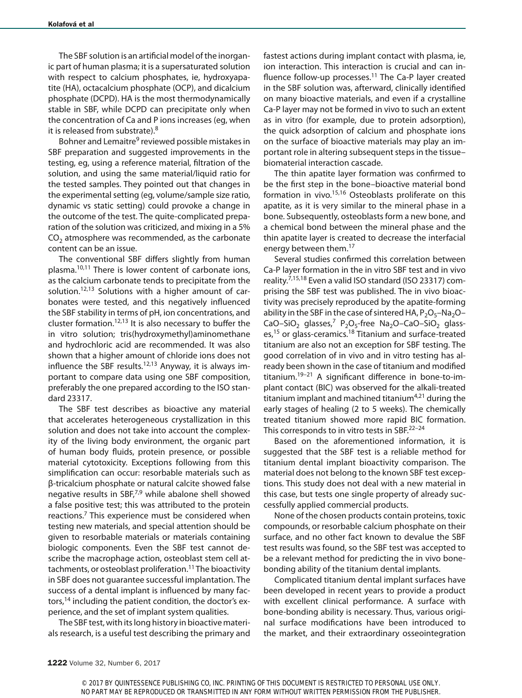The SBF solution is an artificial model of the inorganic part of human plasma; it is a supersaturated solution with respect to calcium phosphates, ie, hydroxyapatite (HA), octacalcium phosphate (OCP), and dicalcium phosphate (DCPD). HA is the most thermodynamically stable in SBF, while DCPD can precipitate only when the concentration of Ca and P ions increases (eg, when it is released from substrate).<sup>8</sup>

Bohner and Lemaitre<sup>9</sup> reviewed possible mistakes in SBF preparation and suggested improvements in the testing, eg, using a reference material, filtration of the solution, and using the same material/liquid ratio for the tested samples. They pointed out that changes in the experimental setting (eg, volume/sample size ratio, dynamic vs static setting) could provoke a change in the outcome of the test. The quite-complicated preparation of the solution was criticized, and mixing in a 5%  $CO<sub>2</sub>$  atmosphere was recommended, as the carbonate content can be an issue.

The conventional SBF differs slightly from human plasma.10,11 There is lower content of carbonate ions, as the calcium carbonate tends to precipitate from the solution.<sup>12,13</sup> Solutions with a higher amount of carbonates were tested, and this negatively influenced the SBF stability in terms of pH, ion concentrations, and cluster formation.<sup>12,13</sup> It is also necessary to buffer the in vitro solution; tris(hydroxymethyl)aminomethane and hydrochloric acid are recommended. It was also shown that a higher amount of chloride ions does not influence the SBF results.<sup>12,13</sup> Anyway, it is always important to compare data using one SBF composition, preferably the one prepared according to the ISO standard 23317.

The SBF test describes as bioactive any material that accelerates heterogeneous crystallization in this solution and does not take into account the complexity of the living body environment, the organic part of human body fluids, protein presence, or possible material cytotoxicity. Exceptions following from this simplification can occur: resorbable materials such as β-tricalcium phosphate or natural calcite showed false negative results in SBF,<sup>7,9</sup> while abalone shell showed a false positive test; this was attributed to the protein reactions.7 This experience must be considered when testing new materials, and special attention should be given to resorbable materials or materials containing biologic components. Even the SBF test cannot describe the macrophage action, osteoblast stem cell attachments, or osteoblast proliferation.<sup>11</sup> The bioactivity in SBF does not guarantee successful implantation. The success of a dental implant is influenced by many factors,14 including the patient condition, the doctor's experience, and the set of implant system qualities.

The SBF test, with its long history in bioactive materials research, is a useful test describing the primary and fastest actions during implant contact with plasma, ie, ion interaction. This interaction is crucial and can influence follow-up processes.<sup>11</sup> The Ca-P layer created in the SBF solution was, afterward, clinically identified on many bioactive materials, and even if a crystalline Ca-P layer may not be formed in vivo to such an extent as in vitro (for example, due to protein adsorption), the quick adsorption of calcium and phosphate ions on the surface of bioactive materials may play an important role in altering subsequent steps in the tissue– biomaterial interaction cascade.

The thin apatite layer formation was confirmed to be the first step in the bone–bioactive material bond formation in vivo.15,16 Osteoblasts proliferate on this apatite, as it is very similar to the mineral phase in a bone. Subsequently, osteoblasts form a new bone, and a chemical bond between the mineral phase and the thin apatite layer is created to decrease the interfacial energy between them.<sup>17</sup>

Several studies confirmed this correlation between Ca-P layer formation in the in vitro SBF test and in vivo reality.7,15,18 Even a valid ISO standard (ISO 23317) comprising the SBF test was published. The in vivo bioactivity was precisely reproduced by the apatite-forming ability in the SBF in the case of sintered HA,  $P_2O_5-Na_2O-$ CaO–SiO<sub>2</sub> glasses,<sup>7</sup> P<sub>2</sub>O<sub>5</sub>-free Na<sub>2</sub>O–CaO–SiO<sub>2</sub> glasses,<sup>15</sup> or glass-ceramics.<sup>18</sup> Titanium and surface-treated titanium are also not an exception for SBF testing. The good correlation of in vivo and in vitro testing has already been shown in the case of titanium and modified titanium.19–21 A significant difference in bone-to-implant contact (BIC) was observed for the alkali-treated titanium implant and machined titanium<sup>4,21</sup> during the early stages of healing (2 to 5 weeks). The chemically treated titanium showed more rapid BIC formation. This corresponds to in vitro tests in SBF.<sup>22-24</sup>

Based on the aforementioned information, it is suggested that the SBF test is a reliable method for titanium dental implant bioactivity comparison. The material does not belong to the known SBF test exceptions. This study does not deal with a new material in this case, but tests one single property of already successfully applied commercial products.

None of the chosen products contain proteins, toxic compounds, or resorbable calcium phosphate on their surface, and no other fact known to devalue the SBF test results was found, so the SBF test was accepted to be a relevant method for predicting the in vivo bonebonding ability of the titanium dental implants.

Complicated titanium dental implant surfaces have been developed in recent years to provide a product with excellent clinical performance. A surface with bone-bonding ability is necessary. Thus, various original surface modifications have been introduced to the market, and their extraordinary osseointegration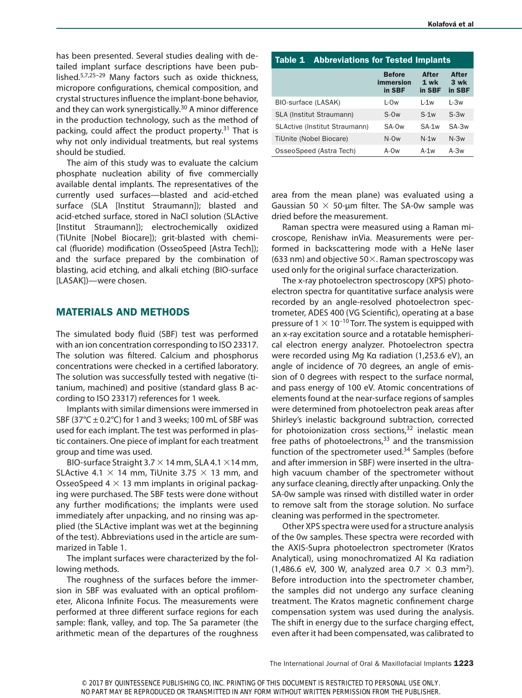has been presented. Several studies dealing with detailed implant surface descriptions have been published.5,7,25–29 Many factors such as oxide thickness, micropore configurations, chemical composition, and crystal structures influence the implant-bone behavior, and they can work synergistically.<sup>30</sup> A minor difference in the production technology, such as the method of packing, could affect the product property.<sup>31</sup> That is why not only individual treatments, but real systems should be studied.

The aim of this study was to evaluate the calcium phosphate nucleation ability of five commercially available dental implants. The representatives of the currently used surfaces—blasted and acid-etched surface (SLA [Institut Straumann]); blasted and acid-etched surface, stored in NaCl solution (SLActive [Institut Straumann]); electrochemically oxidized (TiUnite [Nobel Biocare]); grit-blasted with chemical (fluoride) modification (OsseoSpeed [Astra Tech]); and the surface prepared by the combination of blasting, acid etching, and alkali etching (BIO-surface [LASAK])—were chosen.

### MATERIALS AND METHODS

The simulated body fluid (SBF) test was performed with an ion concentration corresponding to ISO 23317. The solution was filtered. Calcium and phosphorus concentrations were checked in a certified laboratory. The solution was successfully tested with negative (titanium, machined) and positive (standard glass B according to ISO 23317) references for 1 week.

Implants with similar dimensions were immersed in SBF (37 $^{\circ}$ C ± 0.2 $^{\circ}$ C) for 1 and 3 weeks; 100 mL of SBF was used for each implant. The test was performed in plastic containers. One piece of implant for each treatment group and time was used.

BIO-surface Straight 3.7  $\times$  14 mm, SLA 4.1  $\times$  14 mm, SLActive 4.1  $\times$  14 mm, TiUnite 3.75  $\times$  13 mm, and OsseoSpeed  $4 \times 13$  mm implants in original packaging were purchased. The SBF tests were done without any further modifications; the implants were used immediately after unpacking, and no rinsing was applied (the SLActive implant was wet at the beginning of the test). Abbreviations used in the article are summarized in Table 1.

The implant surfaces were characterized by the following methods.

The roughness of the surfaces before the immersion in SBF was evaluated with an optical profilometer, Alicona Infinite Focus. The measurements were performed at three different surface regions for each sample: flank, valley, and top. The Sa parameter (the arithmetic mean of the departures of the roughness

|  |  | Table 1 Abbreviations for Tested Implants |  |
|--|--|-------------------------------------------|--|
|--|--|-------------------------------------------|--|

|                                 | <b>Before</b><br><i>immersion</i><br>in SBF | <b>After</b><br>$1$ wk<br>in SBF | <b>After</b><br>3 wk<br>in SBF |
|---------------------------------|---------------------------------------------|----------------------------------|--------------------------------|
| BIO-surface (LASAK)             | L-Ow                                        | $L-1w$                           | $1-3w$                         |
| <b>SLA (Institut Straumann)</b> | $S-0w$                                      | $S-1w$                           | $S-3w$                         |
| SLActive (Institut Straumann)   | SA-Ow                                       | $SA-1w$                          | $SA-3w$                        |
| TiUnite (Nobel Biocare)         | $N$ -Ow                                     | $N-1w$                           | $N-3w$                         |
| OsseoSpeed (Astra Tech)         | A-Ow                                        | $A-1w$                           | $A-3w$                         |

area from the mean plane) was evaluated using a Gaussian 50  $\times$  50-µm filter. The SA-0w sample was dried before the measurement.

Raman spectra were measured using a Raman microscope, Renishaw inVia. Measurements were performed in backscattering mode with a HeNe laser (633 nm) and objective  $50\times$ . Raman spectroscopy was used only for the original surface characterization.

The x-ray photoelectron spectroscopy (XPS) photoelectron spectra for quantitative surface analysis were recorded by an angle-resolved photoelectron spectrometer, ADES 400 (VG Scientific), operating at a base pressure of  $1 \times 10^{-10}$  Torr. The system is equipped with an x-ray excitation source and a rotatable hemispherical electron energy analyzer. Photoelectron spectra were recorded using Mg Kα radiation (1,253.6 eV), an angle of incidence of 70 degrees, an angle of emission of 0 degrees with respect to the surface normal, and pass energy of 100 eV. Atomic concentrations of elements found at the near-surface regions of samples were determined from photoelectron peak areas after Shirley's inelastic background subtraction, corrected for photoionization cross sections, $32$  inelastic mean free paths of photoelectrons, $33$  and the transmission function of the spectrometer used.<sup>34</sup> Samples (before and after immersion in SBF) were inserted in the ultrahigh vacuum chamber of the spectrometer without any surface cleaning, directly after unpacking. Only the SA-0w sample was rinsed with distilled water in order to remove salt from the storage solution. No surface cleaning was performed in the spectrometer.

Other XPS spectra were used for a structure analysis of the 0w samples. These spectra were recorded with the AXIS-Supra photoelectron spectrometer (Kratos Analytical), using monochromatized Al Kα radiation (1,486.6 eV, 300 W, analyzed area 0.7  $\times$  0.3 mm<sup>2</sup>). Before introduction into the spectrometer chamber, the samples did not undergo any surface cleaning treatment. The Kratos magnetic confinement charge compensation system was used during the analysis. The shift in energy due to the surface charging effect, even after it had been compensated, was calibrated to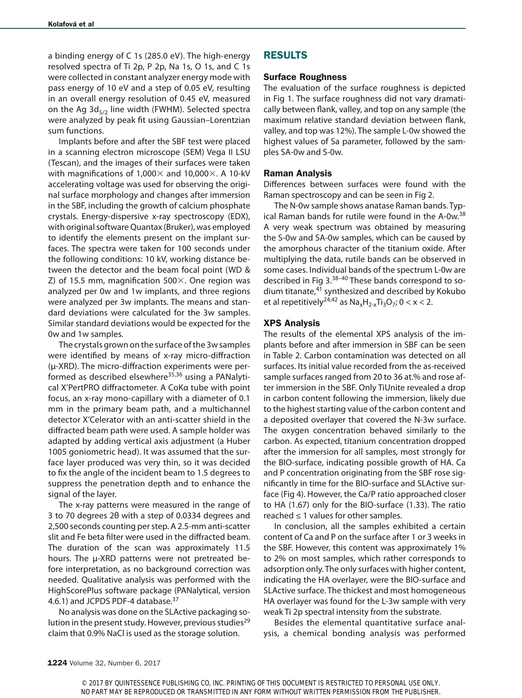a binding energy of C 1s (285.0 eV). The high-energy resolved spectra of Ti 2p, P 2p, Na 1s, O 1s, and C 1s were collected in constant analyzer energy mode with pass energy of 10 eV and a step of 0.05 eV, resulting in an overall energy resolution of 0.45 eV, measured on the Ag  $3d_{5/2}$  line width (FWHM). Selected spectra were analyzed by peak fit using Gaussian–Lorentzian sum functions.

Implants before and after the SBF test were placed in a scanning electron microscope (SEM) Vega II LSU (Tescan), and the images of their surfaces were taken with magnifications of 1,000 $\times$  and 10,000 $\times$ . A 10-kV accelerating voltage was used for observing the original surface morphology and changes after immersion in the SBF, including the growth of calcium phosphate crystals. Energy-dispersive x-ray spectroscopy (EDX), with original software Quantax (Bruker), was employed to identify the elements present on the implant surfaces. The spectra were taken for 100 seconds under the following conditions: 10 kV, working distance between the detector and the beam focal point (WD & Z) of 15.5 mm, magnification 500 $\times$ . One region was analyzed per 0w and 1w implants, and three regions were analyzed per 3w implants. The means and standard deviations were calculated for the 3w samples. Similar standard deviations would be expected for the 0w and 1w samples.

The crystals grown on the surface of the 3w samples were identified by means of x-ray micro-diffraction (µ-XRD). The micro-diffraction experiments were performed as described elsewhere<sup>35,36</sup> using a PANalytical X'PertPRO diffractometer. A CoKα tube with point focus, an x-ray mono-capillary with a diameter of 0.1 mm in the primary beam path, and a multichannel detector X'Celerator with an anti-scatter shield in the diffracted beam path were used. A sample holder was adapted by adding vertical axis adjustment (a Huber 1005 goniometric head). It was assumed that the surface layer produced was very thin, so it was decided to fix the angle of the incident beam to 1.5 degrees to suppress the penetration depth and to enhance the signal of the layer.

The x-ray patterns were measured in the range of 3 to 70 degrees 2θ with a step of 0.0334 degrees and 2,500 seconds counting per step. A 2.5-mm anti-scatter slit and Fe beta filter were used in the diffracted beam. The duration of the scan was approximately 11.5 hours. The µ-XRD patterns were not pretreated before interpretation, as no background correction was needed. Qualitative analysis was performed with the HighScorePlus software package (PANalytical, version 4.6.1) and JCPDS PDF-4 database.<sup>37</sup>

No analysis was done on the SLActive packaging solution in the present study. However, previous studies<sup>29</sup> claim that 0.9% NaCl is used as the storage solution.

## RESULTS

#### Surface Roughness

The evaluation of the surface roughness is depicted in Fig 1. The surface roughness did not vary dramatically between flank, valley, and top on any sample (the maximum relative standard deviation between flank, valley, and top was 12%). The sample L-0w showed the highest values of Sa parameter, followed by the samples SA-0w and S-0w.

#### Raman Analysis

Differences between surfaces were found with the Raman spectroscopy and can be seen in Fig 2.

The N-0w sample shows anatase Raman bands. Typical Raman bands for rutile were found in the A-0w.<sup>38</sup> A very weak spectrum was obtained by measuring the S-0w and SA-0w samples, which can be caused by the amorphous character of the titanium oxide. After multiplying the data, rutile bands can be observed in some cases. Individual bands of the spectrum L-0w are described in Fig 3.38–40 These bands correspond to sodium titanate,41 synthesized and described by Kokubo et al repetitively<sup>24,42</sup> as  $Na_xH_{2-x}Ti_3O_7$ ; 0 < x < 2.

#### XPS Analysis

The results of the elemental XPS analysis of the implants before and after immersion in SBF can be seen in Table 2. Carbon contamination was detected on all surfaces. Its initial value recorded from the as-received sample surfaces ranged from 20 to 36 at.% and rose after immersion in the SBF. Only TiUnite revealed a drop in carbon content following the immersion, likely due to the highest starting value of the carbon content and a deposited overlayer that covered the N-3w surface. The oxygen concentration behaved similarly to the carbon. As expected, titanium concentration dropped after the immersion for all samples, most strongly for the BIO-surface, indicating possible growth of HA. Ca and P concentration originating from the SBF rose significantly in time for the BIO-surface and SLActive surface (Fig 4). However, the Ca/P ratio approached closer to HA (1.67) only for the BIO-surface (1.33). The ratio reached  $\leq 1$  values for other samples.

In conclusion, all the samples exhibited a certain content of Ca and P on the surface after 1 or 3 weeks in the SBF. However, this content was approximately 1% to 2% on most samples, which rather corresponds to adsorption only. The only surfaces with higher content, indicating the HA overlayer, were the BIO-surface and SLActive surface. The thickest and most homogeneous HA overlayer was found for the L-3w sample with very weak Ti 2p spectral intensity from the substrate.

Besides the elemental quantitative surface analysis, a chemical bonding analysis was performed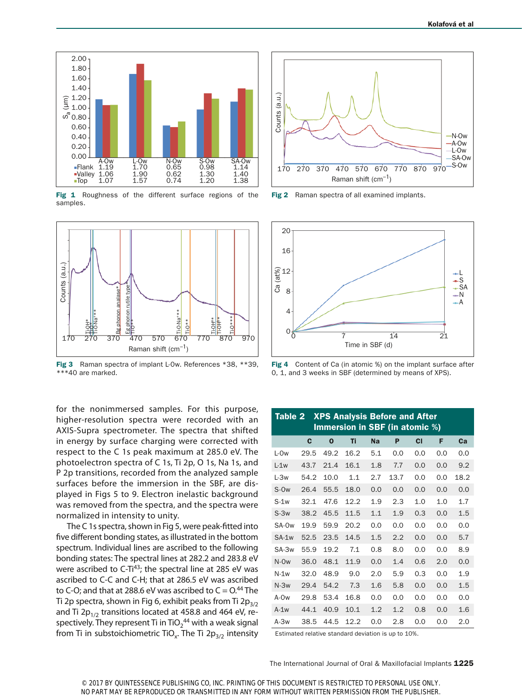

Fig 1 Roughness of the different surface regions of the samples.



Fig 3 Raman spectra of implant L-0w. References \*38, \*\*39, \*\*\* 40 are marked.

for the nonimmersed samples. For this purpose, higher-resolution spectra were recorded with an AXIS-Supra spectrometer. The spectra that shifted in energy by surface charging were corrected with respect to the C 1s peak maximum at 285.0 eV. The photoelectron spectra of C 1s, Ti 2p, O 1s, Na 1s, and P 2p transitions, recorded from the analyzed sample surfaces before the immersion in the SBF, are displayed in Figs 5 to 9. Electron inelastic background was removed from the spectra, and the spectra were normalized in intensity to unity.

The C 1s spectra, shown in Fig 5, were peak-fitted into five different bonding states, as illustrated in the bottom spectrum. Individual lines are ascribed to the following bonding states: The spectral lines at 282.2 and 283.8 eV were ascribed to C-Ti<sup>43</sup>; the spectral line at 285 eV was ascribed to C-C and C-H; that at 286.5 eV was ascribed to C-O; and that at 288.6 eV was ascribed to  $C = 0.44$  The Ti 2p spectra, shown in Fig 6, exhibit peaks from Ti  $2p_{3/2}$ and Ti 2 $p_{1/2}$  transitions located at 458.8 and 464 eV, respectively. They represent Ti in TiO $_2^{\,44}$  with a weak signal from Ti in substoichiometric TiO<sub>x</sub>. The Ti 2 $p_{3/2}$  intensity



Fig 2 Raman spectra of all examined implants.



Fig 4 Content of Ca (in atomic %) on the implant surface after 0, 1, and 3 weeks in SBF (determined by means of XPS).

| <b>XPS Analysis Before and After</b><br>Table 2<br>Immersion in SBF (in atomic %) |      |              |      |     |      |           |     |      |
|-----------------------------------------------------------------------------------|------|--------------|------|-----|------|-----------|-----|------|
|                                                                                   | C    | $\mathbf{o}$ | Ti   | Na  | P    | <b>CI</b> | F   | Ca   |
| L-Ow                                                                              | 29.5 | 49.2         | 16.2 | 5.1 | 0.0  | 0.0       | 0.0 | 0.0  |
| $L-1w$                                                                            | 43.7 | 21.4         | 16.1 | 1.8 | 7.7  | 0.0       | 0.0 | 9.2  |
| $L-3w$                                                                            | 54.2 | 10.0         | 1.1  | 2.7 | 13.7 | 0.0       | 0.0 | 18.2 |
| $S-0w$                                                                            | 26.4 | 55.5         | 18.0 | 0.0 | 0.0  | 0.0       | 0.0 | 0.0  |
| $S-1w$                                                                            | 32.1 | 47.6         | 12.2 | 1.9 | 2.3  | 1.0       | 1.0 | 1.7  |
| $S-3w$                                                                            | 38.2 | 45.5         | 11.5 | 1.1 | 1.9  | 0.3       | 0.0 | 1.5  |
| SA-Ow                                                                             | 19.9 | 59.9         | 20.2 | 0.0 | 0.0  | 0.0       | 0.0 | 0.0  |
| SA-1w                                                                             | 52.5 | 23.5         | 14.5 | 1.5 | 2.2  | 0.0       | 0.0 | 5.7  |
| $SA-3w$                                                                           | 55.9 | 19.2         | 7.1  | 0.8 | 8.0  | 0.0       | 0.0 | 8.9  |
| N-Ow                                                                              | 36.0 | 48.1         | 11.9 | 0.0 | 1.4  | 0.6       | 2.0 | 0.0  |
| $N-1w$                                                                            | 32.0 | 48.9         | 9.0  | 2.0 | 5.9  | 0.3       | 0.0 | 1.9  |
| $N-3w$                                                                            | 29.4 | 54.2         | 7.3  | 1.6 | 5.8  | 0.0       | 0.0 | 1.5  |
| A-Ow                                                                              | 29.8 | 53.4         | 16.8 | 0.0 | 0.0  | 0.0       | 0.0 | 0.0  |
| $A-1w$                                                                            | 44.1 | 40.9         | 10.1 | 1.2 | 1.2  | 0.8       | 0.0 | 1.6  |
| $A-3w$                                                                            | 38.5 | 44.5         | 12.2 | 0.0 | 2.8  | 0.0       | 0.0 | 2.0  |

Estimated relative standard deviation is up to 10%.

The International Journal of Oral & Maxillofacial Implants 1225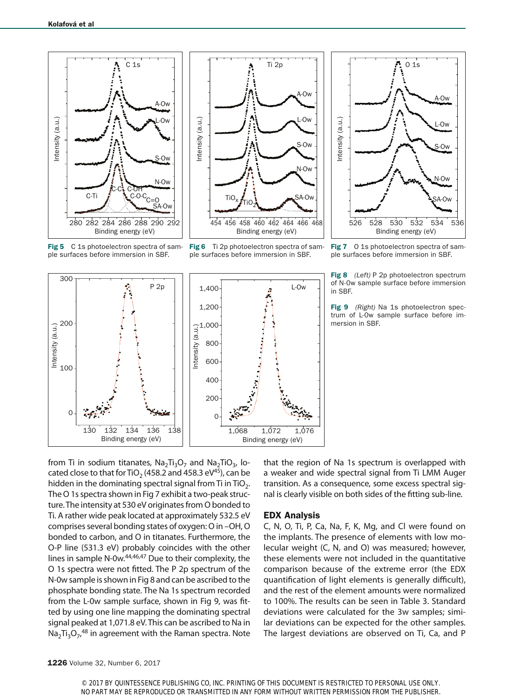

ple surfaces before immersion in SBF.



Fig 5 C 1s photoelectron spectra of sam-Fig 6 Ti 2p photoelectron spectra of sample surfaces before immersion in SBF.





Fig 8 *(Left)* P 2p photoelectron spectrum of N-0w sample surface before immersion in SBF.

Fig 9 *(Right)* Na 1s photoelectron spectrum of L-0w sample surface before immersion in SBF.



from Ti in sodium titanates,  $Na<sub>2</sub>Ti<sub>3</sub>O<sub>7</sub>$  and  $Na<sub>2</sub>TiO<sub>3</sub>$ , located close to that for TiO<sub>2</sub> (458.2 and 458.3 eV<sup>45</sup>), can be hidden in the dominating spectral signal from Ti in TiO<sub>2</sub>. The O 1s spectra shown in Fig 7 exhibit a two-peak structure. The intensity at 530 eV originates from O bonded to Ti. A rather wide peak located at approximately 532.5 eV comprises several bonding states of oxygen: O in –OH, O bonded to carbon, and O in titanates. Furthermore, the O-P line (531.3 eV) probably coincides with the other lines in sample N-0w.44,46,47 Due to their complexity, the O 1s spectra were not fitted. The P 2p spectrum of the N-0w sample is shown in Fig 8 and can be ascribed to the phosphate bonding state. The Na 1s spectrum recorded from the L-0w sample surface, shown in Fig 9, was fitted by using one line mapping the dominating spectral signal peaked at 1,071.8 eV. This can be ascribed to Na in  $\textsf{Na}_2 \textsf{Ti}_3 \textsf{O}_7$ ,<sup>48</sup> in agreement with the Raman spectra. Note that the region of Na 1s spectrum is overlapped with a weaker and wide spectral signal from Ti LMM Auger transition. As a consequence, some excess spectral signal is clearly visible on both sides of the fitting sub-line.

#### EDX Analysis

C, N, O, Ti, P, Ca, Na, F, K, Mg, and Cl were found on the implants. The presence of elements with low molecular weight (C, N, and O) was measured; however, these elements were not included in the quantitative comparison because of the extreme error (the EDX quantification of light elements is generally difficult), and the rest of the element amounts were normalized to 100%. The results can be seen in Table 3. Standard deviations were calculated for the 3w samples; similar deviations can be expected for the other samples. The largest deviations are observed on Ti, Ca, and P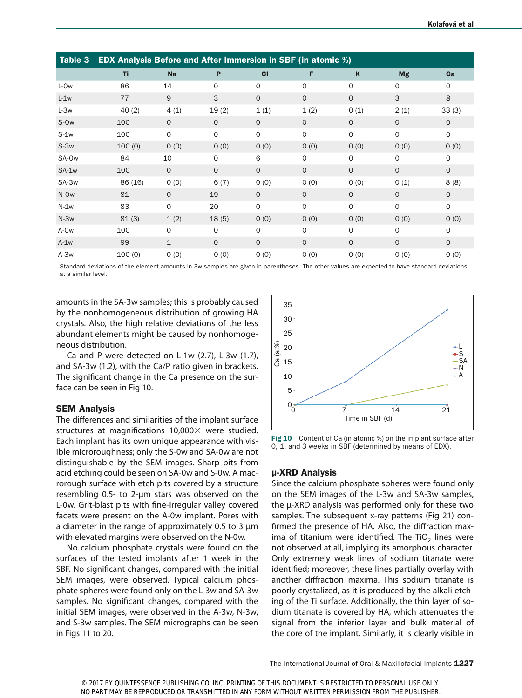| EDX Analysis Before and After Immersion in SBF (in atomic %)<br>Table 3 |         |              |              |                |                |              |              |              |
|-------------------------------------------------------------------------|---------|--------------|--------------|----------------|----------------|--------------|--------------|--------------|
|                                                                         | Ti      | <b>Na</b>    | P            | <b>CI</b>      | F              | K            | <b>Mg</b>    | ca           |
| L-Ow                                                                    | 86      | 14           | $\circ$      | 0              | $\mathbf 0$    | $\Omega$     | 0            | $\mathbf 0$  |
| $L-1w$                                                                  | 77      | 9            | 3            | $\overline{O}$ | $\overline{O}$ | $\Omega$     | 3            | 8            |
| $L-3w$                                                                  | 40(2)   | 4(1)         | 19(2)        | 1(1)           | 1(2)           | 0(1)         | 2(1)         | 33(3)        |
| $S-0w$                                                                  | 100     | $\mathbf{O}$ | $\mathbf{O}$ | $\mathbf{O}$   | $\mathbf 0$    | $\mathbf{O}$ | $\mathbf{0}$ | $\mathbf 0$  |
| $S-1w$                                                                  | 100     | $\mathbf{O}$ | $\mathbf 0$  | $\mathsf{O}$   | $\mathbf 0$    | $\Omega$     | $\Omega$     | $\mathbf{O}$ |
| $S-3w$                                                                  | 100(0)  | O(0)         | O(0)         | O(0)           | O(0)           | O(0)         | O(0)         | 0(0)         |
| SA-Ow                                                                   | 84      | 10           | $\mathbf 0$  | 6              | $\mathbf 0$    | 0            | $\Omega$     | 0            |
| SA-1w                                                                   | 100     | $\mathbf{O}$ | $\mathbf{O}$ | $\overline{O}$ | $\overline{O}$ | $\mathbf{O}$ | $\mathbf{O}$ | $\mathbf{O}$ |
| SA-3w                                                                   | 86 (16) | 0(0)         | 6(7)         | O(0)           | O(0)           | O(0)         | 0(1)         | 8(8)         |
| N-Ow                                                                    | 81      | $\mathbf{O}$ | 19           | 0              | $\mathbf 0$    | $\mathbf{O}$ | $\mathbf{0}$ | $\mathbf 0$  |
| $N-1w$                                                                  | 83      | $\mathbf{O}$ | 20           | $\mathsf{O}$   | $\mathbf 0$    | $\mathbf 0$  | $\mathbf{O}$ | $\mathbf 0$  |
| $N-3w$                                                                  | 81(3)   | 1(2)         | 18(5)        | 0(0)           | O(0)           | O(0)         | O(0)         | 0(0)         |
| A-Ow                                                                    | 100     | $\mathbf{O}$ | $\mathbf 0$  | $\mathsf{O}$   | $\mathbf 0$    | $\Omega$     | $\mathbf 0$  | $\mathbf{O}$ |
| $A-1w$                                                                  | 99      | $\mathbf{1}$ | $\Omega$     | $\Omega$       | $\Omega$       | $\Omega$     | $\Omega$     | $\mathbf{O}$ |
| $A-3w$                                                                  | 100(0)  | 0(0)         | O(0)         | 0(0)           | O(0)           | O(0)         | O(0)         | 0(0)         |

Standard deviations of the element amounts in 3w samples are given in parentheses. The other values are expected to have standard deviations at a similar level.

amounts in the SA-3w samples; this is probably caused by the nonhomogeneous distribution of growing HA crystals. Also, the high relative deviations of the less abundant elements might be caused by nonhomogeneous distribution.

Ca and P were detected on L-1w (2.7), L-3w (1.7), and SA-3w (1.2), with the Ca/P ratio given in brackets. The significant change in the Ca presence on the surface can be seen in Fig 10.

#### SEM Analysis

The differences and similarities of the implant surface structures at magnifications  $10,000 \times$  were studied. Each implant has its own unique appearance with visible microroughness; only the S-0w and SA-0w are not distinguishable by the SEM images. Sharp pits from acid etching could be seen on SA-0w and S-0w. A macrorough surface with etch pits covered by a structure resembling 0.5- to 2-µm stars was observed on the L-0w. Grit-blast pits with fine-irregular valley covered facets were present on the A-0w implant. Pores with a diameter in the range of approximately 0.5 to 3  $\mu$ m with elevated margins were observed on the N-0w.

No calcium phosphate crystals were found on the surfaces of the tested implants after 1 week in the SBF. No significant changes, compared with the initial SEM images, were observed. Typical calcium phosphate spheres were found only on the L-3w and SA-3w samples. No significant changes, compared with the initial SEM images, were observed in the A-3w, N-3w, and S-3w samples. The SEM micrographs can be seen in Figs 11 to 20.



Fig 10 Content of Ca (in atomic %) on the implant surface after 0, 1, and 3 weeks in SBF (determined by means of EDX).

#### µ-XRD Analysis

Since the calcium phosphate spheres were found only on the SEM images of the L-3w and SA-3w samples, the µ-XRD analysis was performed only for these two samples. The subsequent x-ray patterns (Fig 21) confirmed the presence of HA. Also, the diffraction maxima of titanium were identified. The TiO<sub>2</sub> lines were not observed at all, implying its amorphous character. Only extremely weak lines of sodium titanate were identified; moreover, these lines partially overlay with another diffraction maxima. This sodium titanate is poorly crystalized, as it is produced by the alkali etching of the Ti surface. Additionally, the thin layer of sodium titanate is covered by HA, which attenuates the signal from the inferior layer and bulk material of the core of the implant. Similarly, it is clearly visible in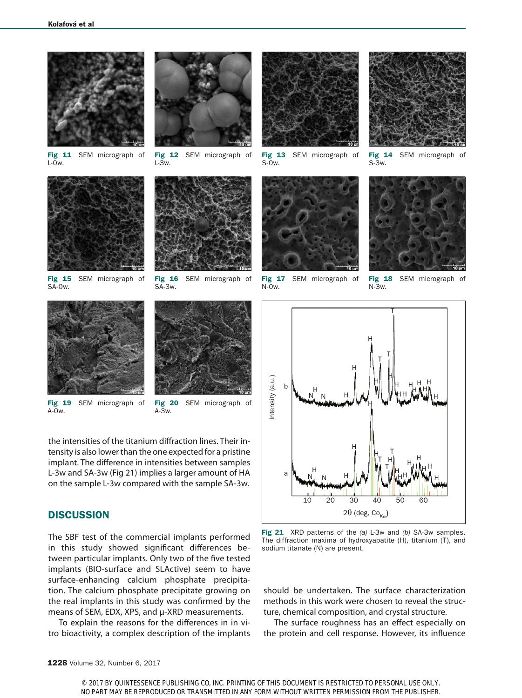

Fig 11 SEM micrograph of L-0w.



Fig 12 SEM micrograph of  $L-3w$ .



Fig 13 SEM micrograph of S-0w.



Fig 14 SEM micrograph of S-3w.



Fig 15 SEM micrograph of SA-0w.



Fig 19 SEM micrograph of A-0w.



Fig 16 SEM micrograph of SA-3w.



Fig 20 SEM micrograph of A-3w.

the intensities of the titanium diffraction lines. Their intensity is also lower than the one expected for a pristine implant. The difference in intensities between samples L-3w and SA-3w (Fig 21) implies a larger amount of HA on the sample L-3w compared with the sample SA-3w.

## **DISCUSSION**

The SBF test of the commercial implants performed in this study showed significant differences between particular implants. Only two of the five tested implants (BIO-surface and SLActive) seem to have surface-enhancing calcium phosphate precipitation. The calcium phosphate precipitate growing on the real implants in this study was confirmed by the means of SEM, EDX, XPS, and µ-XRD measurements.

To explain the reasons for the differences in in vitro bioactivity, a complex description of the implants



Fig 17 SEM micrograph of N-0w.



Fig 18 SEM micrograph of N-3w.



Fig 21 XRD patterns of the *(a)* L-3w and *(b)* SA-3w samples. The diffraction maxima of hydroxyapatite (H), titanium (T), and sodium titanate (N) are present.

should be undertaken. The surface characterization methods in this work were chosen to reveal the structure, chemical composition, and crystal structure.

The surface roughness has an effect especially on the protein and cell response. However, its influence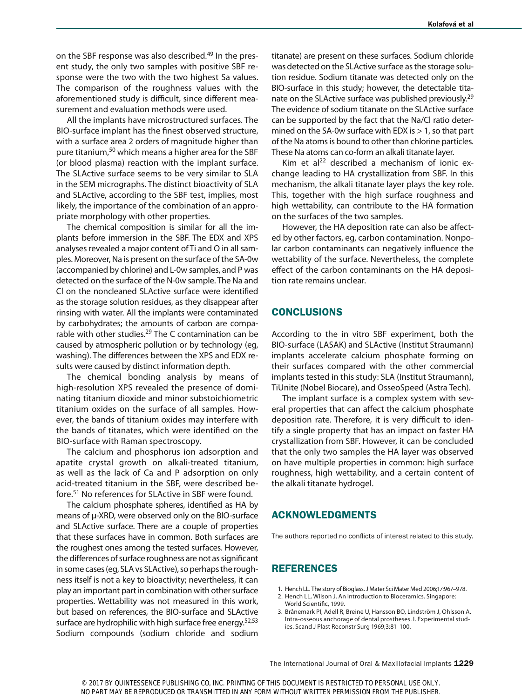on the SBF response was also described.<sup>49</sup> In the present study, the only two samples with positive SBF response were the two with the two highest Sa values. The comparison of the roughness values with the aforementioned study is difficult, since different measurement and evaluation methods were used.

All the implants have microstructured surfaces. The BIO-surface implant has the finest observed structure, with a surface area 2 orders of magnitude higher than pure titanium,<sup>50</sup> which means a higher area for the SBF (or blood plasma) reaction with the implant surface. The SLActive surface seems to be very similar to SLA in the SEM micrographs. The distinct bioactivity of SLA and SLActive, according to the SBF test, implies, most likely, the importance of the combination of an appropriate morphology with other properties.

The chemical composition is similar for all the implants before immersion in the SBF. The EDX and XPS analyses revealed a major content of Ti and O in all samples. Moreover, Na is present on the surface of the SA-0w (accompanied by chlorine) and L-0w samples, and P was detected on the surface of the N-0w sample. The Na and Cl on the noncleaned SLActive surface were identified as the storage solution residues, as they disappear after rinsing with water. All the implants were contaminated by carbohydrates; the amounts of carbon are comparable with other studies. $29$  The C contamination can be caused by atmospheric pollution or by technology (eg, washing). The differences between the XPS and EDX results were caused by distinct information depth.

The chemical bonding analysis by means of high-resolution XPS revealed the presence of dominating titanium dioxide and minor substoichiometric titanium oxides on the surface of all samples. However, the bands of titanium oxides may interfere with the bands of titanates, which were identified on the BIO-surface with Raman spectroscopy.

The calcium and phosphorus ion adsorption and apatite crystal growth on alkali-treated titanium, as well as the lack of Ca and P adsorption on only acid-treated titanium in the SBF, were described before.51 No references for SLActive in SBF were found.

The calcium phosphate spheres, identified as HA by means of µ-XRD, were observed only on the BIO-surface and SLActive surface. There are a couple of properties that these surfaces have in common. Both surfaces are the roughest ones among the tested surfaces. However, the differences of surface roughness are not as significant in some cases (eg, SLA vs SLActive), so perhaps the roughness itself is not a key to bioactivity; nevertheless, it can play an important part in combination with other surface properties. Wettability was not measured in this work, but based on references, the BIO-surface and SLActive surface are hydrophilic with high surface free energy.<sup>52,53</sup> Sodium compounds (sodium chloride and sodium

titanate) are present on these surfaces. Sodium chloride was detected on the SLActive surface as the storage solution residue. Sodium titanate was detected only on the BIO-surface in this study; however, the detectable titanate on the SLActive surface was published previously.<sup>29</sup> The evidence of sodium titanate on the SLActive surface can be supported by the fact that the Na/Cl ratio determined on the SA-0w surface with EDX is  $> 1$ , so that part of the Na atoms is bound to other than chlorine particles. These Na atoms can co-form an alkali titanate layer.

Kim et al<sup>22</sup> described a mechanism of ionic exchange leading to HA crystallization from SBF. In this mechanism, the alkali titanate layer plays the key role. This, together with the high surface roughness and high wettability, can contribute to the HA formation on the surfaces of the two samples.

However, the HA deposition rate can also be affected by other factors, eg, carbon contamination. Nonpolar carbon contaminants can negatively influence the wettability of the surface. Nevertheless, the complete effect of the carbon contaminants on the HA deposition rate remains unclear.

## **CONCLUSIONS**

According to the in vitro SBF experiment, both the BIO-surface (LASAK) and SLActive (Institut Straumann) implants accelerate calcium phosphate forming on their surfaces compared with the other commercial implants tested in this study: SLA (Institut Straumann), TiUnite (Nobel Biocare), and OsseoSpeed (Astra Tech).

The implant surface is a complex system with several properties that can affect the calcium phosphate deposition rate. Therefore, it is very difficult to identify a single property that has an impact on faster HA crystallization from SBF. However, it can be concluded that the only two samples the HA layer was observed on have multiple properties in common: high surface roughness, high wettability, and a certain content of the alkali titanate hydrogel.

## ACKNOWLEDGMENTS

The authors reported no conflicts of interest related to this study.

## REFERENCES

- 1. Hench LL. The story of Bioglass. J Mater Sci Mater Med 2006;17:967–978.
- 2. Hench LL, Wilson J. An Introduction to Bioceramics. Singapore: World Scientific, 1999.
- 3. Brånemark PI, Adell R, Breine U, Hansson BO, Lindström J, Ohlsson A. Intra-osseous anchorage of dental prostheses. I. Experimental studies. Scand J Plast Reconstr Surg 1969;3:81–100.

The International Journal of Oral & Maxillofacial Implants 1229